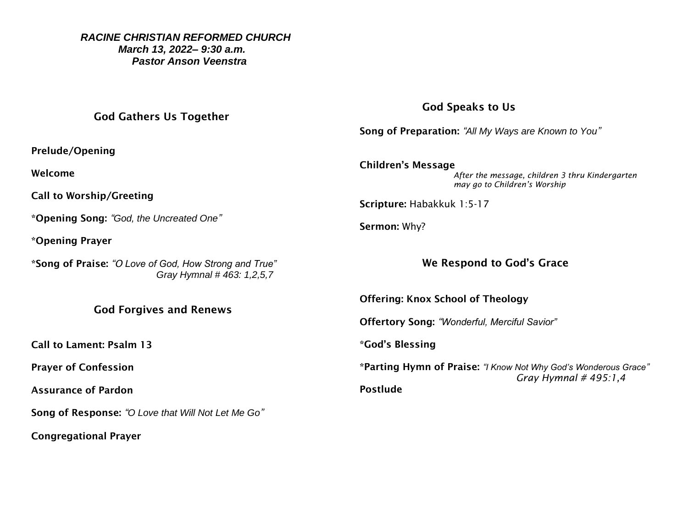### *RACINE CHRISTIAN REFORMED CHURCH March 13, 2022– 9:30 a.m. Pastor Anson Veenstra*

# God Gathers Us Together

Prelude/Opening

Welcome

Call to Worship/Greeting

\*Opening Song: *"God, the Uncreated One"*

\*Opening Prayer

\*Song of Praise: *"O Love of God, How Strong and True" Gray Hymnal # 463: 1,2,5,7*

## God Forgives and Renews

Call to Lament: Psalm 13

Prayer of Confession

Assurance of Pardon

Song of Response: *"O Love that Will Not Let Me Go"*

Congregational Prayer

# God Speaks to Us

Song of Preparation: *"All My Ways are Known to You"*

Children's Message *After the message, children 3 thru Kindergarten may go to Children's Worship* 

Scripture: Habakkuk 1:5-17

Sermon: Why?

# We Respond to God's Grace

Offering: Knox School of Theology

Offertory Song: *"Wonderful, Merciful Savior"*

\*God's Blessing

\*Parting Hymn of Praise: *"I Know Not Why God's Wonderous Grace" Gray Hymnal # 495:1,4* Postlude